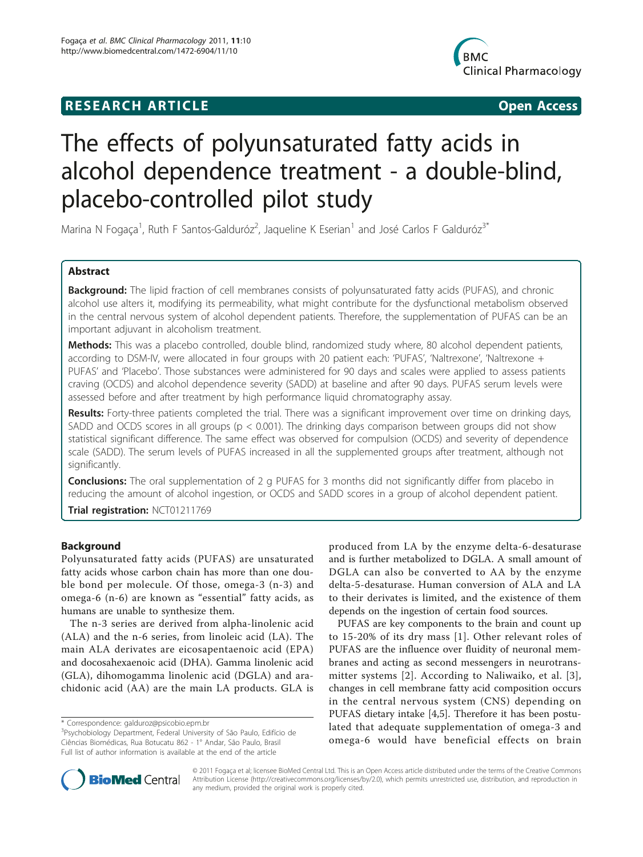# **RESEARCH ARTICLE Example 2018 12:00 Department of the Contract Open Access**



# The effects of polyunsaturated fatty acids in alcohol dependence treatment - a double-blind, placebo-controlled pilot study

Marina N Fogaça<sup>1</sup>, Ruth F Santos-Galduróz<sup>2</sup>, Jaqueline K Eserian<sup>1</sup> and José Carlos F Galduróz<sup>3\*</sup>

# Abstract

**Background:** The lipid fraction of cell membranes consists of polyunsaturated fatty acids (PUFAS), and chronic alcohol use alters it, modifying its permeability, what might contribute for the dysfunctional metabolism observed in the central nervous system of alcohol dependent patients. Therefore, the supplementation of PUFAS can be an important adjuvant in alcoholism treatment.

Methods: This was a placebo controlled, double blind, randomized study where, 80 alcohol dependent patients, according to DSM-IV, were allocated in four groups with 20 patient each: 'PUFAS', 'Naltrexone', 'Naltrexone + PUFAS' and 'Placebo'. Those substances were administered for 90 days and scales were applied to assess patients craving (OCDS) and alcohol dependence severity (SADD) at baseline and after 90 days. PUFAS serum levels were assessed before and after treatment by high performance liquid chromatography assay.

Results: Forty-three patients completed the trial. There was a significant improvement over time on drinking days, SADD and OCDS scores in all groups (p < 0.001). The drinking days comparison between groups did not show statistical significant difference. The same effect was observed for compulsion (OCDS) and severity of dependence scale (SADD). The serum levels of PUFAS increased in all the supplemented groups after treatment, although not significantly.

**Conclusions:** The oral supplementation of 2 g PUFAS for 3 months did not significantly differ from placebo in reducing the amount of alcohol ingestion, or OCDS and SADD scores in a group of alcohol dependent patient.

Trial registration: [NCT01211769](http://www.clinicaltrials.gov/ct2/show/NCT01211769)

# Background

Polyunsaturated fatty acids (PUFAS) are unsaturated fatty acids whose carbon chain has more than one double bond per molecule. Of those, omega-3 (n-3) and omega-6 (n-6) are known as "essential" fatty acids, as humans are unable to synthesize them.

The n-3 series are derived from alpha-linolenic acid (ALA) and the n-6 series, from linoleic acid (LA). The main ALA derivates are eicosapentaenoic acid (EPA) and docosahexaenoic acid (DHA). Gamma linolenic acid (GLA), dihomogamma linolenic acid (DGLA) and arachidonic acid (AA) are the main LA products. GLA is

produced from LA by the enzyme delta-6-desaturase and is further metabolized to DGLA. A small amount of DGLA can also be converted to AA by the enzyme delta-5-desaturase. Human conversion of ALA and LA to their derivates is limited, and the existence of them depends on the ingestion of certain food sources.

PUFAS are key components to the brain and count up to 15-20% of its dry mass [[1](#page-6-0)]. Other relevant roles of PUFAS are the influence over fluidity of neuronal membranes and acting as second messengers in neurotransmitter systems [[2](#page-6-0)]. According to Naliwaiko, et al. [[3\]](#page-6-0), changes in cell membrane fatty acid composition occurs in the central nervous system (CNS) depending on PUFAS dietary intake [[4,5\]](#page-6-0). Therefore it has been postulated that adequate supplementation of omega-3 and omega-6 would have beneficial effects on brain



© 2011 Fogaça et al; licensee BioMed Central Ltd. This is an Open Access article distributed under the terms of the Creative Commons Attribution License [\(http://creativecommons.org/licenses/by/2.0](http://creativecommons.org/licenses/by/2.0)), which permits unrestricted use, distribution, and reproduction in any medium, provided the original work is properly cited.

<sup>\*</sup> Correspondence: [galduroz@psicobio.epm.br](mailto:galduroz@psicobio.epm.br)

<sup>&</sup>lt;sup>3</sup>Psychobiology Department, Federal University of São Paulo, Edifício de Ciências Biomédicas, Rua Botucatu 862 - 1° Andar, São Paulo, Brasil Full list of author information is available at the end of the article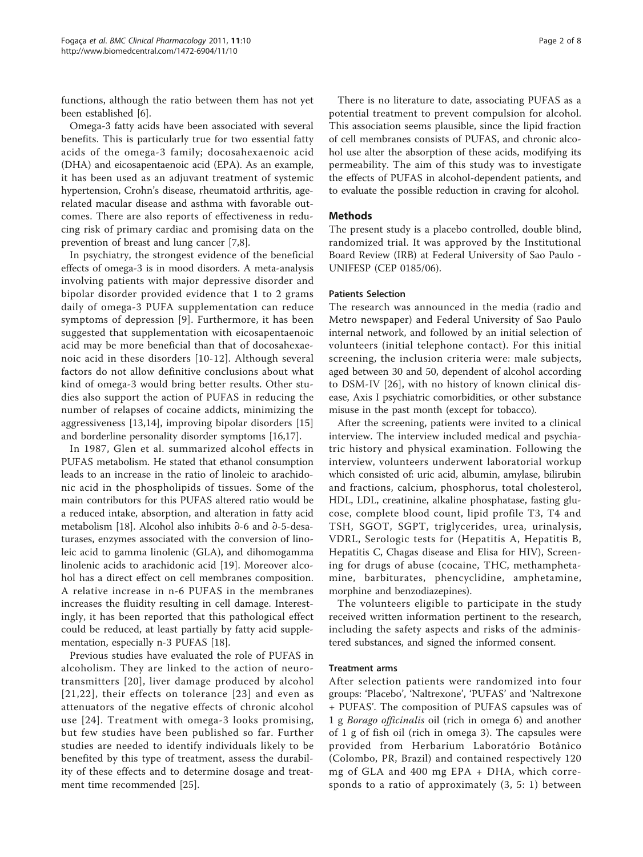functions, although the ratio between them has not yet been established [\[6\]](#page-6-0).

Omega-3 fatty acids have been associated with several benefits. This is particularly true for two essential fatty acids of the omega-3 family; docosahexaenoic acid (DHA) and eicosapentaenoic acid (EPA). As an example, it has been used as an adjuvant treatment of systemic hypertension, Crohn's disease, rheumatoid arthritis, agerelated macular disease and asthma with favorable outcomes. There are also reports of effectiveness in reducing risk of primary cardiac and promising data on the prevention of breast and lung cancer [[7,8\]](#page-6-0).

In psychiatry, the strongest evidence of the beneficial effects of omega-3 is in mood disorders. A meta-analysis involving patients with major depressive disorder and bipolar disorder provided evidence that 1 to 2 grams daily of omega-3 PUFA supplementation can reduce symptoms of depression [\[9\]](#page-6-0). Furthermore, it has been suggested that supplementation with eicosapentaenoic acid may be more beneficial than that of docosahexaenoic acid in these disorders [[10](#page-6-0)-[12](#page-6-0)]. Although several factors do not allow definitive conclusions about what kind of omega-3 would bring better results. Other studies also support the action of PUFAS in reducing the number of relapses of cocaine addicts, minimizing the aggressiveness [[13,14](#page-7-0)], improving bipolar disorders [\[15](#page-7-0)] and borderline personality disorder symptoms [\[16,17](#page-7-0)].

In 1987, Glen et al. summarized alcohol effects in PUFAS metabolism. He stated that ethanol consumption leads to an increase in the ratio of linoleic to arachidonic acid in the phospholipids of tissues. Some of the main contributors for this PUFAS altered ratio would be a reduced intake, absorption, and alteration in fatty acid metabolism [[18](#page-7-0)]. Alcohol also inhibits ∂-6 and ∂-5-desaturases, enzymes associated with the conversion of linoleic acid to gamma linolenic (GLA), and dihomogamma linolenic acids to arachidonic acid [\[19](#page-7-0)]. Moreover alcohol has a direct effect on cell membranes composition. A relative increase in n-6 PUFAS in the membranes increases the fluidity resulting in cell damage. Interestingly, it has been reported that this pathological effect could be reduced, at least partially by fatty acid supplementation, especially n-3 PUFAS [\[18](#page-7-0)].

Previous studies have evaluated the role of PUFAS in alcoholism. They are linked to the action of neurotransmitters [[20\]](#page-7-0), liver damage produced by alcohol [[21](#page-7-0),[22\]](#page-7-0), their effects on tolerance [[23](#page-7-0)] and even as attenuators of the negative effects of chronic alcohol use [[24\]](#page-7-0). Treatment with omega-3 looks promising, but few studies have been published so far. Further studies are needed to identify individuals likely to be benefited by this type of treatment, assess the durability of these effects and to determine dosage and treatment time recommended [[25\]](#page-7-0).

There is no literature to date, associating PUFAS as a potential treatment to prevent compulsion for alcohol. This association seems plausible, since the lipid fraction of cell membranes consists of PUFAS, and chronic alcohol use alter the absorption of these acids, modifying its permeability. The aim of this study was to investigate the effects of PUFAS in alcohol-dependent patients, and to evaluate the possible reduction in craving for alcohol.

# Methods

The present study is a placebo controlled, double blind, randomized trial. It was approved by the Institutional Board Review (IRB) at Federal University of Sao Paulo - UNIFESP (CEP 0185/06).

## Patients Selection

The research was announced in the media (radio and Metro newspaper) and Federal University of Sao Paulo internal network, and followed by an initial selection of volunteers (initial telephone contact). For this initial screening, the inclusion criteria were: male subjects, aged between 30 and 50, dependent of alcohol according to DSM-IV [[26](#page-7-0)], with no history of known clinical disease, Axis I psychiatric comorbidities, or other substance misuse in the past month (except for tobacco).

After the screening, patients were invited to a clinical interview. The interview included medical and psychiatric history and physical examination. Following the interview, volunteers underwent laboratorial workup which consisted of: uric acid, albumin, amylase, bilirubin and fractions, calcium, phosphorus, total cholesterol, HDL, LDL, creatinine, alkaline phosphatase, fasting glucose, complete blood count, lipid profile T3, T4 and TSH, SGOT, SGPT, triglycerides, urea, urinalysis, VDRL, Serologic tests for (Hepatitis A, Hepatitis B, Hepatitis C, Chagas disease and Elisa for HIV), Screening for drugs of abuse (cocaine, THC, methamphetamine, barbiturates, phencyclidine, amphetamine, morphine and benzodiazepines).

The volunteers eligible to participate in the study received written information pertinent to the research, including the safety aspects and risks of the administered substances, and signed the informed consent.

## Treatment arms

After selection patients were randomized into four groups: 'Placebo', 'Naltrexone', 'PUFAS' and 'Naltrexone + PUFAS'. The composition of PUFAS capsules was of 1 g Borago officinalis oil (rich in omega 6) and another of 1 g of fish oil (rich in omega 3). The capsules were provided from Herbarium Laboratório Botânico (Colombo, PR, Brazil) and contained respectively 120 mg of GLA and 400 mg EPA + DHA, which corresponds to a ratio of approximately (3, 5: 1) between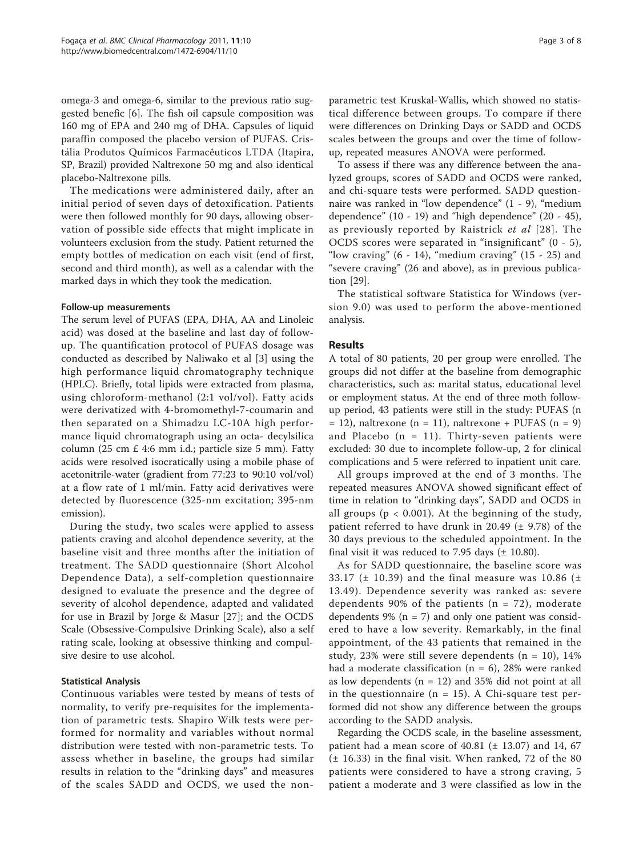omega-3 and omega-6, similar to the previous ratio suggested benefic [[6\]](#page-6-0). The fish oil capsule composition was 160 mg of EPA and 240 mg of DHA. Capsules of liquid paraffin composed the placebo version of PUFAS. Cristália Produtos Químicos Farmacêuticos LTDA (Itapira, SP, Brazil) provided Naltrexone 50 mg and also identical placebo-Naltrexone pills.

The medications were administered daily, after an initial period of seven days of detoxification. Patients were then followed monthly for 90 days, allowing observation of possible side effects that might implicate in volunteers exclusion from the study. Patient returned the empty bottles of medication on each visit (end of first, second and third month), as well as a calendar with the marked days in which they took the medication.

## Follow-up measurements

The serum level of PUFAS (EPA, DHA, AA and Linoleic acid) was dosed at the baseline and last day of followup. The quantification protocol of PUFAS dosage was conducted as described by Naliwako et al [[3\]](#page-6-0) using the high performance liquid chromatography technique (HPLC). Briefly, total lipids were extracted from plasma, using chloroform-methanol (2:1 vol/vol). Fatty acids were derivatized with 4-bromomethyl-7-coumarin and then separated on a Shimadzu LC-10A high performance liquid chromatograph using an octa- decylsilica column (25 cm £ 4:6 mm i.d.; particle size 5 mm). Fatty acids were resolved isocratically using a mobile phase of acetonitrile-water (gradient from 77:23 to 90:10 vol/vol) at a flow rate of 1 ml/min. Fatty acid derivatives were detected by fluorescence (325-nm excitation; 395-nm emission).

During the study, two scales were applied to assess patients craving and alcohol dependence severity, at the baseline visit and three months after the initiation of treatment. The SADD questionnaire (Short Alcohol Dependence Data), a self-completion questionnaire designed to evaluate the presence and the degree of severity of alcohol dependence, adapted and validated for use in Brazil by Jorge & Masur [[27\]](#page-7-0); and the OCDS Scale (Obsessive-Compulsive Drinking Scale), also a self rating scale, looking at obsessive thinking and compulsive desire to use alcohol.

# Statistical Analysis

Continuous variables were tested by means of tests of normality, to verify pre-requisites for the implementation of parametric tests. Shapiro Wilk tests were performed for normality and variables without normal distribution were tested with non-parametric tests. To assess whether in baseline, the groups had similar results in relation to the "drinking days" and measures of the scales SADD and OCDS, we used the non-

parametric test Kruskal-Wallis, which showed no statistical difference between groups. To compare if there were differences on Drinking Days or SADD and OCDS scales between the groups and over the time of followup, repeated measures ANOVA were performed.

To assess if there was any difference between the analyzed groups, scores of SADD and OCDS were ranked, and chi-square tests were performed. SADD questionnaire was ranked in "low dependence" (1 - 9), "medium dependence" (10 - 19) and "high dependence" (20 - 45), as previously reported by Raistrick et al [[28\]](#page-7-0). The OCDS scores were separated in "insignificant" (0 - 5), "low craving"  $(6 - 14)$ , "medium craving"  $(15 - 25)$  and "severe craving" (26 and above), as in previous publication [\[29](#page-7-0)].

The statistical software Statistica for Windows (version 9.0) was used to perform the above-mentioned analysis.

# Results

A total of 80 patients, 20 per group were enrolled. The groups did not differ at the baseline from demographic characteristics, such as: marital status, educational level or employment status. At the end of three moth followup period, 43 patients were still in the study: PUFAS (n  $= 12$ ), naltrexone (n  $= 11$ ), naltrexone + PUFAS (n  $= 9$ ) and Placebo  $(n = 11)$ . Thirty-seven patients were excluded: 30 due to incomplete follow-up, 2 for clinical complications and 5 were referred to inpatient unit care.

All groups improved at the end of 3 months. The repeated measures ANOVA showed significant effect of time in relation to "drinking days", SADD and OCDS in all groups ( $p < 0.001$ ). At the beginning of the study, patient referred to have drunk in 20.49 ( $\pm$  9.78) of the 30 days previous to the scheduled appointment. In the final visit it was reduced to 7.95 days  $(\pm 10.80)$ .

As for SADD questionnaire, the baseline score was 33.17 ( $\pm$  10.39) and the final measure was 10.86 ( $\pm$ 13.49). Dependence severity was ranked as: severe dependents 90% of the patients ( $n = 72$ ), moderate dependents  $9\%$  (n = 7) and only one patient was considered to have a low severity. Remarkably, in the final appointment, of the 43 patients that remained in the study,  $23\%$  were still severe dependents (n = 10),  $14\%$ had a moderate classification ( $n = 6$ ), 28% were ranked as low dependents ( $n = 12$ ) and 35% did not point at all in the questionnaire ( $n = 15$ ). A Chi-square test performed did not show any difference between the groups according to the SADD analysis.

Regarding the OCDS scale, in the baseline assessment, patient had a mean score of  $40.81$  ( $\pm$  13.07) and 14, 67 (± 16.33) in the final visit. When ranked, 72 of the 80 patients were considered to have a strong craving, 5 patient a moderate and 3 were classified as low in the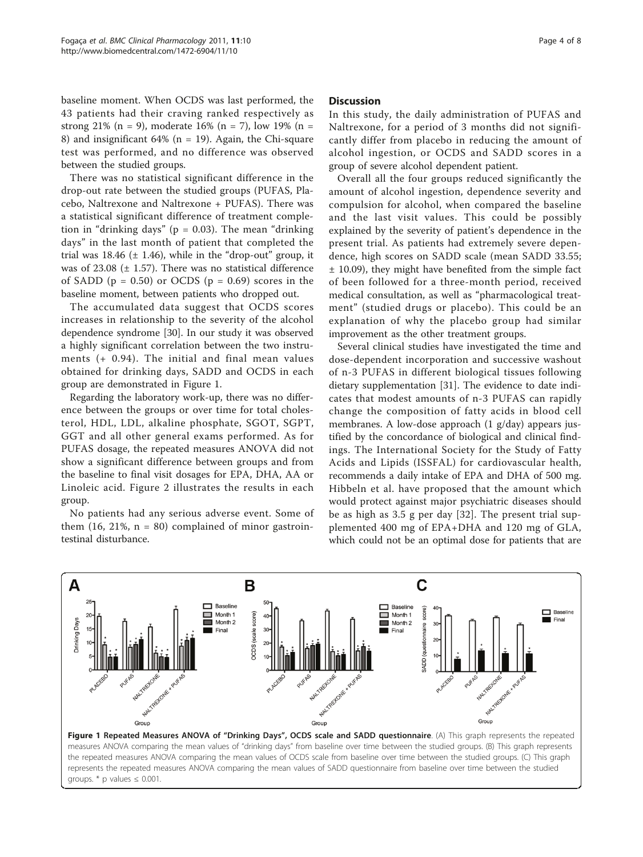baseline moment. When OCDS was last performed, the 43 patients had their craving ranked respectively as strong 21% (n = 9), moderate 16% (n = 7), low 19% (n = 8) and insignificant  $64\%$  (n = 19). Again, the Chi-square test was performed, and no difference was observed between the studied groups.

There was no statistical significant difference in the drop-out rate between the studied groups (PUFAS, Placebo, Naltrexone and Naltrexone + PUFAS). There was a statistical significant difference of treatment completion in "drinking days" ( $p = 0.03$ ). The mean "drinking days" in the last month of patient that completed the trial was  $18.46$  ( $\pm$  1.46), while in the "drop-out" group, it was of  $23.08$  ( $\pm$  1.57). There was no statistical difference of SADD ( $p = 0.50$ ) or OCDS ( $p = 0.69$ ) scores in the baseline moment, between patients who dropped out.

The accumulated data suggest that OCDS scores increases in relationship to the severity of the alcohol dependence syndrome [[30](#page-7-0)]. In our study it was observed a highly significant correlation between the two instruments (+ 0.94). The initial and final mean values obtained for drinking days, SADD and OCDS in each group are demonstrated in Figure 1.

Regarding the laboratory work-up, there was no difference between the groups or over time for total cholesterol, HDL, LDL, alkaline phosphate, SGOT, SGPT, GGT and all other general exams performed. As for PUFAS dosage, the repeated measures ANOVA did not show a significant difference between groups and from the baseline to final visit dosages for EPA, DHA, AA or Linoleic acid. Figure [2](#page-4-0) illustrates the results in each group.

No patients had any serious adverse event. Some of them  $(16, 21\%, n = 80)$  complained of minor gastrointestinal disturbance.

#### **Discussion**

In this study, the daily administration of PUFAS and Naltrexone, for a period of 3 months did not significantly differ from placebo in reducing the amount of alcohol ingestion, or OCDS and SADD scores in a group of severe alcohol dependent patient.

Overall all the four groups reduced significantly the amount of alcohol ingestion, dependence severity and compulsion for alcohol, when compared the baseline and the last visit values. This could be possibly explained by the severity of patient's dependence in the present trial. As patients had extremely severe dependence, high scores on SADD scale (mean SADD 33.55; ± 10.09), they might have benefited from the simple fact of been followed for a three-month period, received medical consultation, as well as "pharmacological treatment" (studied drugs or placebo). This could be an explanation of why the placebo group had similar improvement as the other treatment groups.

Several clinical studies have investigated the time and dose-dependent incorporation and successive washout of n-3 PUFAS in different biological tissues following dietary supplementation [[31](#page-7-0)]. The evidence to date indicates that modest amounts of n-3 PUFAS can rapidly change the composition of fatty acids in blood cell membranes. A low-dose approach (1 g/day) appears justified by the concordance of biological and clinical findings. The International Society for the Study of Fatty Acids and Lipids (ISSFAL) for cardiovascular health, recommends a daily intake of EPA and DHA of 500 mg. Hibbeln et al. have proposed that the amount which would protect against major psychiatric diseases should be as high as 3.5 g per day [[32](#page-7-0)]. The present trial supplemented 400 mg of EPA+DHA and 120 mg of GLA, which could not be an optimal dose for patients that are

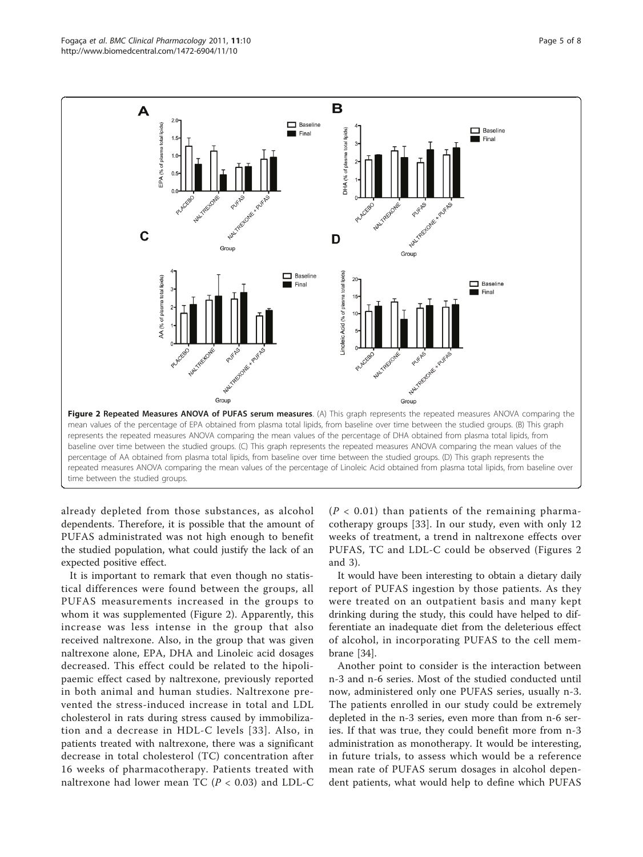<span id="page-4-0"></span>

already depleted from those substances, as alcohol dependents. Therefore, it is possible that the amount of PUFAS administrated was not high enough to benefit the studied population, what could justify the lack of an expected positive effect.

It is important to remark that even though no statistical differences were found between the groups, all PUFAS measurements increased in the groups to whom it was supplemented (Figure 2). Apparently, this increase was less intense in the group that also received naltrexone. Also, in the group that was given naltrexone alone, EPA, DHA and Linoleic acid dosages decreased. This effect could be related to the hipolipaemic effect cased by naltrexone, previously reported in both animal and human studies. Naltrexone prevented the stress-induced increase in total and LDL cholesterol in rats during stress caused by immobilization and a decrease in HDL-C levels [[33\]](#page-7-0). Also, in patients treated with naltrexone, there was a significant decrease in total cholesterol (TC) concentration after 16 weeks of pharmacotherapy. Patients treated with naltrexone had lower mean TC ( $P < 0.03$ ) and LDL-C  $(P < 0.01)$  than patients of the remaining pharmacotherapy groups [[33\]](#page-7-0). In our study, even with only 12 weeks of treatment, a trend in naltrexone effects over PUFAS, TC and LDL-C could be observed (Figures 2 and [3](#page-5-0)).

It would have been interesting to obtain a dietary daily report of PUFAS ingestion by those patients. As they were treated on an outpatient basis and many kept drinking during the study, this could have helped to differentiate an inadequate diet from the deleterious effect of alcohol, in incorporating PUFAS to the cell membrane [\[34\]](#page-7-0).

Another point to consider is the interaction between n-3 and n-6 series. Most of the studied conducted until now, administered only one PUFAS series, usually n-3. The patients enrolled in our study could be extremely depleted in the n-3 series, even more than from n-6 series. If that was true, they could benefit more from n-3 administration as monotherapy. It would be interesting, in future trials, to assess which would be a reference mean rate of PUFAS serum dosages in alcohol dependent patients, what would help to define which PUFAS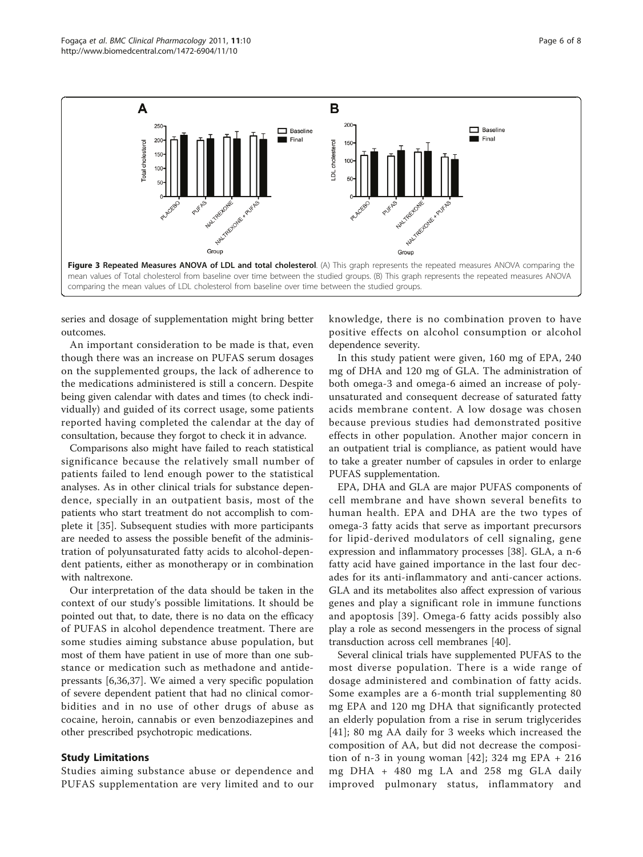<span id="page-5-0"></span>

series and dosage of supplementation might bring better outcomes.

An important consideration to be made is that, even though there was an increase on PUFAS serum dosages on the supplemented groups, the lack of adherence to the medications administered is still a concern. Despite being given calendar with dates and times (to check individually) and guided of its correct usage, some patients reported having completed the calendar at the day of consultation, because they forgot to check it in advance.

Comparisons also might have failed to reach statistical significance because the relatively small number of patients failed to lend enough power to the statistical analyses. As in other clinical trials for substance dependence, specially in an outpatient basis, most of the patients who start treatment do not accomplish to complete it [[35\]](#page-7-0). Subsequent studies with more participants are needed to assess the possible benefit of the administration of polyunsaturated fatty acids to alcohol-dependent patients, either as monotherapy or in combination with naltrexone.

Our interpretation of the data should be taken in the context of our study's possible limitations. It should be pointed out that, to date, there is no data on the efficacy of PUFAS in alcohol dependence treatment. There are some studies aiming substance abuse population, but most of them have patient in use of more than one substance or medication such as methadone and antidepressants [[6,](#page-6-0)[36,37\]](#page-7-0). We aimed a very specific population of severe dependent patient that had no clinical comorbidities and in no use of other drugs of abuse as cocaine, heroin, cannabis or even benzodiazepines and other prescribed psychotropic medications.

# Study Limitations

Studies aiming substance abuse or dependence and PUFAS supplementation are very limited and to our knowledge, there is no combination proven to have positive effects on alcohol consumption or alcohol dependence severity.

In this study patient were given, 160 mg of EPA, 240 mg of DHA and 120 mg of GLA. The administration of both omega-3 and omega-6 aimed an increase of polyunsaturated and consequent decrease of saturated fatty acids membrane content. A low dosage was chosen because previous studies had demonstrated positive effects in other population. Another major concern in an outpatient trial is compliance, as patient would have to take a greater number of capsules in order to enlarge PUFAS supplementation.

EPA, DHA and GLA are major PUFAS components of cell membrane and have shown several benefits to human health. EPA and DHA are the two types of omega-3 fatty acids that serve as important precursors for lipid-derived modulators of cell signaling, gene expression and inflammatory processes [\[38\]](#page-7-0). GLA, a n-6 fatty acid have gained importance in the last four decades for its anti-inflammatory and anti-cancer actions. GLA and its metabolites also affect expression of various genes and play a significant role in immune functions and apoptosis [[39](#page-7-0)]. Omega-6 fatty acids possibly also play a role as second messengers in the process of signal transduction across cell membranes [\[40](#page-7-0)].

Several clinical trials have supplemented PUFAS to the most diverse population. There is a wide range of dosage administered and combination of fatty acids. Some examples are a 6-month trial supplementing 80 mg EPA and 120 mg DHA that significantly protected an elderly population from a rise in serum triglycerides [[41](#page-7-0)]; 80 mg AA daily for 3 weeks which increased the composition of AA, but did not decrease the composition of n-3 in young woman  $[42]$  $[42]$  $[42]$ ; 324 mg EPA + 216 mg DHA + 480 mg LA and 258 mg GLA daily improved pulmonary status, inflammatory and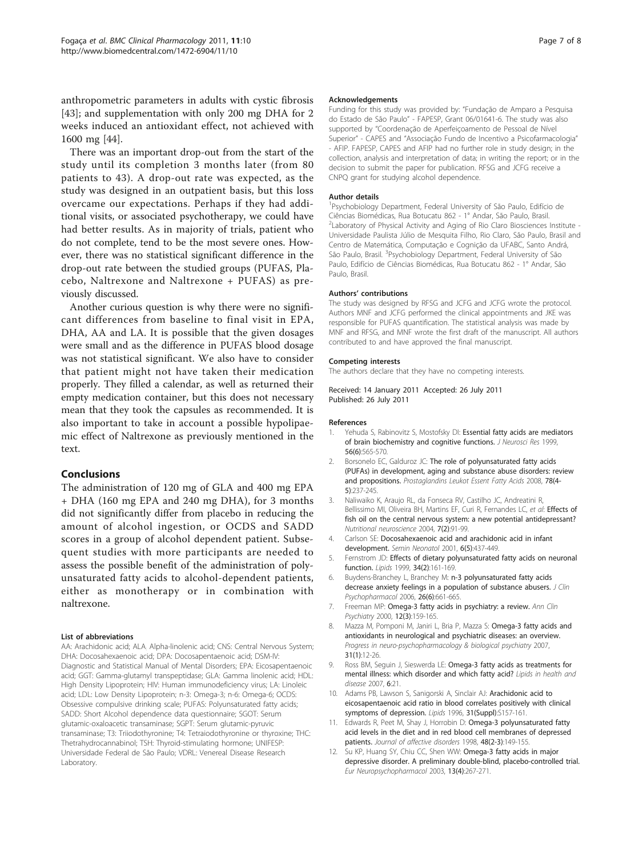<span id="page-6-0"></span>anthropometric parameters in adults with cystic fibrosis [[43\]](#page-7-0); and supplementation with only 200 mg DHA for 2 weeks induced an antioxidant effect, not achieved with 1600 mg [[44](#page-7-0)].

There was an important drop-out from the start of the study until its completion 3 months later (from 80 patients to 43). A drop-out rate was expected, as the study was designed in an outpatient basis, but this loss overcame our expectations. Perhaps if they had additional visits, or associated psychotherapy, we could have had better results. As in majority of trials, patient who do not complete, tend to be the most severe ones. However, there was no statistical significant difference in the drop-out rate between the studied groups (PUFAS, Placebo, Naltrexone and Naltrexone + PUFAS) as previously discussed.

Another curious question is why there were no significant differences from baseline to final visit in EPA, DHA, AA and LA. It is possible that the given dosages were small and as the difference in PUFAS blood dosage was not statistical significant. We also have to consider that patient might not have taken their medication properly. They filled a calendar, as well as returned their empty medication container, but this does not necessary mean that they took the capsules as recommended. It is also important to take in account a possible hypolipaemic effect of Naltrexone as previously mentioned in the text.

## Conclusions

The administration of 120 mg of GLA and 400 mg EPA + DHA (160 mg EPA and 240 mg DHA), for 3 months did not significantly differ from placebo in reducing the amount of alcohol ingestion, or OCDS and SADD scores in a group of alcohol dependent patient. Subsequent studies with more participants are needed to assess the possible benefit of the administration of polyunsaturated fatty acids to alcohol-dependent patients, either as monotherapy or in combination with naltrexone.

#### List of abbreviations

AA: Arachidonic acid; ALA: Alpha-linolenic acid; CNS: Central Nervous System; DHA: Docosahexaenoic acid; DPA: Docosapentaenoic acid; DSM-IV: Diagnostic and Statistical Manual of Mental Disorders; EPA: Eicosapentaenoic acid; GGT: Gamma-glutamyl transpeptidase; GLA: Gamma linolenic acid; HDL: High Density Lipoprotein; HIV: Human immunodeficiency virus; LA: Linoleic acid; LDL: Low Density Lipoprotein; n-3: Omega-3; n-6: Omega-6; OCDS: Obsessive compulsive drinking scale; PUFAS: Polyunsaturated fatty acids; SADD: Short Alcohol dependence data questionnaire; SGOT: Serum glutamic-oxaloacetic transaminase; SGPT: Serum glutamic-pyruvic transaminase; T3: Triiodothyronine; T4: Tetraiodothyronine or thyroxine; THC: Thetrahydrocannabinol; TSH: Thyroid-stimulating hormone; UNIFESP: Universidade Federal de São Paulo; VDRL: Venereal Disease Research Laboratory.

#### Acknowledgements

Funding for this study was provided by: "Fundação de Amparo a Pesquisa do Estado de São Paulo" - FAPESP, Grant 06/01641-6. The study was also supported by "Coordenação de Aperfeiçoamento de Pessoal de Nível Superior" - CAPES and "Associação Fundo de Incentivo a Psicofarmacologia" - AFIP. FAPESP, CAPES and AFIP had no further role in study design; in the collection, analysis and interpretation of data; in writing the report; or in the decision to submit the paper for publication. RFSG and JCFG receive a CNPQ grant for studying alcohol dependence.

#### Author details

<sup>1</sup>Psychobiology Department, Federal University of São Paulo, Edifício de Ciências Biomédicas, Rua Botucatu 862 - 1° Andar, São Paulo, Brasil. <sup>2</sup> Laboratory of Physical Activity and Aging of Rio Claro Biosciences Institute -Universidade Paulista Júlio de Mesquita Filho, Rio Claro, São Paulo, Brasil and Centro de Matemática, Computação e Cognição da UFABC, Santo Andrá, São Paulo, Brasil. <sup>3</sup>Psychobiology Department, Federal University of São Paulo, Edifício de Ciências Biomédicas, Rua Botucatu 862 - 1° Andar, São Paulo, Brasil.

#### Authors' contributions

The study was designed by RFSG and JCFG and JCFG wrote the protocol. Authors MNF and JCFG performed the clinical appointments and JKE was responsible for PUFAS quantification. The statistical analysis was made by MNF and RFSG, and MNF wrote the first draft of the manuscript. All authors contributed to and have approved the final manuscript.

#### Competing interests

The authors declare that they have no competing interests.

Received: 14 January 2011 Accepted: 26 July 2011 Published: 26 July 2011

#### References

- Yehuda S, Rabinovitz S, Mostofsky DI: [Essential fatty acids are mediators](http://www.ncbi.nlm.nih.gov/pubmed/10374811?dopt=Abstract) [of brain biochemistry and cognitive functions.](http://www.ncbi.nlm.nih.gov/pubmed/10374811?dopt=Abstract) J Neurosci Res 1999, 56(6):565-570.
- 2. Borsonelo EC, Galduroz JC: [The role of polyunsaturated fatty acids](http://www.ncbi.nlm.nih.gov/pubmed/18502631?dopt=Abstract) [\(PUFAs\) in development, aging and substance abuse disorders: review](http://www.ncbi.nlm.nih.gov/pubmed/18502631?dopt=Abstract) [and propositions.](http://www.ncbi.nlm.nih.gov/pubmed/18502631?dopt=Abstract) Prostaglandins Leukot Essent Fatty Acids 2008, 78(4-5):237-245.
- 3. Naliwaiko K, Araujo RL, da Fonseca RV, Castilho JC, Andreatini R, Bellissimo MI, Oliveira BH, Martins FF, Curi R, Fernandes LC, et al: [Effects of](http://www.ncbi.nlm.nih.gov/pubmed/15279495?dopt=Abstract) [fish oil on the central nervous system: a new potential antidepressant?](http://www.ncbi.nlm.nih.gov/pubmed/15279495?dopt=Abstract) Nutritional neuroscience 2004, 7(2):91-99.
- 4. Carlson SE: [Docosahexaenoic acid and arachidonic acid in infant](http://www.ncbi.nlm.nih.gov/pubmed/11988033?dopt=Abstract) [development.](http://www.ncbi.nlm.nih.gov/pubmed/11988033?dopt=Abstract) Semin Neonatol 2001, 6(5):437-449.
- 5. Fernstrom JD: [Effects of dietary polyunsaturated fatty acids on neuronal](http://www.ncbi.nlm.nih.gov/pubmed/10102242?dopt=Abstract) [function.](http://www.ncbi.nlm.nih.gov/pubmed/10102242?dopt=Abstract) Lipids 1999, 34(2):161-169.
- 6. Buydens-Branchey L, Branchey M: [n-3 polyunsaturated fatty acids](http://www.ncbi.nlm.nih.gov/pubmed/17110827?dopt=Abstract) [decrease anxiety feelings in a population of substance abusers.](http://www.ncbi.nlm.nih.gov/pubmed/17110827?dopt=Abstract) J Clin Psychopharmacol 2006, 26(6):661-665.
- 7. Freeman MP: [Omega-3 fatty acids in psychiatry: a review.](http://www.ncbi.nlm.nih.gov/pubmed/10984006?dopt=Abstract) Ann Clin Psychiatry 2000, 12(3):159-165.
- 8. Mazza M, Pomponi M, Janiri L, Bria P, Mazza S: [Omega-3 fatty acids and](http://www.ncbi.nlm.nih.gov/pubmed/17360094?dopt=Abstract) [antioxidants in neurological and psychiatric diseases: an overview.](http://www.ncbi.nlm.nih.gov/pubmed/17360094?dopt=Abstract) Progress in neuro-psychopharmacology & biological psychiatry 2007, 31(1):12-26.
- 9. Ross BM, Seguin J, Sieswerda LE: [Omega-3 fatty acids as treatments for](http://www.ncbi.nlm.nih.gov/pubmed/17877810?dopt=Abstract) [mental illness: which disorder and which fatty acid?](http://www.ncbi.nlm.nih.gov/pubmed/17877810?dopt=Abstract) Lipids in health and disease 2007, **6**:21
- 10. Adams PB, Lawson S, Sanigorski A, Sinclair AJ: [Arachidonic acid to](http://www.ncbi.nlm.nih.gov/pubmed/8729112?dopt=Abstract) [eicosapentaenoic acid ratio in blood correlates positively with clinical](http://www.ncbi.nlm.nih.gov/pubmed/8729112?dopt=Abstract) [symptoms of depression.](http://www.ncbi.nlm.nih.gov/pubmed/8729112?dopt=Abstract) Lipids 1996, 31(Suppl):S157-161.
- 11. Edwards R, Peet M, Shay J, Horrobin D: [Omega-3 polyunsaturated fatty](http://www.ncbi.nlm.nih.gov/pubmed/9543204?dopt=Abstract) [acid levels in the diet and in red blood cell membranes of depressed](http://www.ncbi.nlm.nih.gov/pubmed/9543204?dopt=Abstract) [patients.](http://www.ncbi.nlm.nih.gov/pubmed/9543204?dopt=Abstract) Journal of affective disorders 1998, 48(2-3):149-155.
- 12. Su KP, Huang SY, Chiu CC, Shen WW: [Omega-3 fatty acids in major](http://www.ncbi.nlm.nih.gov/pubmed/12888186?dopt=Abstract) [depressive disorder. A preliminary double-blind, placebo-controlled trial.](http://www.ncbi.nlm.nih.gov/pubmed/12888186?dopt=Abstract) Eur Neuropsychopharmacol 2003, 13(4):267-271.